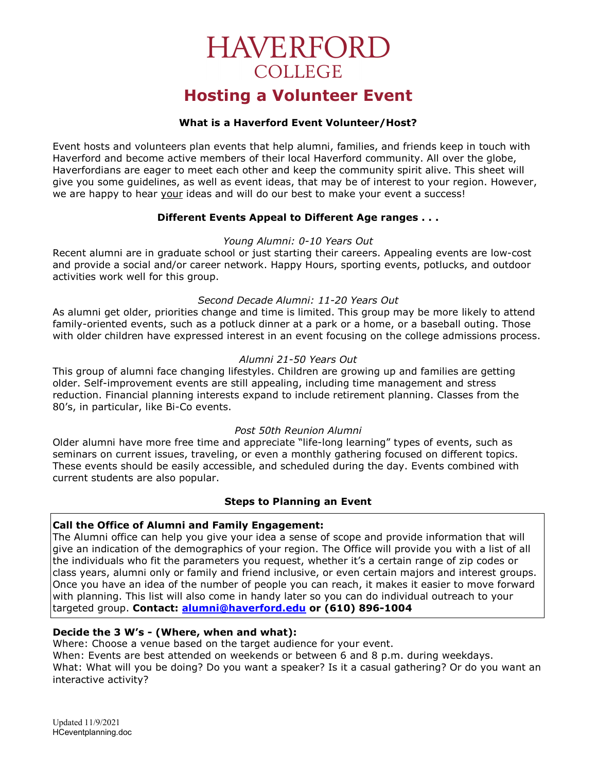# **HAVERFORD COLLEGE**

# Hosting a Volunteer Event

# What is a Haverford Event Volunteer/Host?

Event hosts and volunteers plan events that help alumni, families, and friends keep in touch with Haverford and become active members of their local Haverford community. All over the globe, Haverfordians are eager to meet each other and keep the community spirit alive. This sheet will give you some guidelines, as well as event ideas, that may be of interest to your region. However, we are happy to hear your ideas and will do our best to make your event a success!

# Different Events Appeal to Different Age ranges . . .

#### Young Alumni: 0-10 Years Out

Recent alumni are in graduate school or just starting their careers. Appealing events are low-cost and provide a social and/or career network. Happy Hours, sporting events, potlucks, and outdoor activities work well for this group.

# Second Decade Alumni: 11-20 Years Out

As alumni get older, priorities change and time is limited. This group may be more likely to attend family-oriented events, such as a potluck dinner at a park or a home, or a baseball outing. Those with older children have expressed interest in an event focusing on the college admissions process.

# Alumni 21-50 Years Out

This group of alumni face changing lifestyles. Children are growing up and families are getting older. Self-improvement events are still appealing, including time management and stress reduction. Financial planning interests expand to include retirement planning. Classes from the 80's, in particular, like Bi-Co events.

# Post 50th Reunion Alumni

Older alumni have more free time and appreciate "life-long learning" types of events, such as seminars on current issues, traveling, or even a monthly gathering focused on different topics. These events should be easily accessible, and scheduled during the day. Events combined with current students are also popular.

# Steps to Planning an Event

#### Call the Office of Alumni and Family Engagement:

The Alumni office can help you give your idea a sense of scope and provide information that will give an indication of the demographics of your region. The Office will provide you with a list of all the individuals who fit the parameters you request, whether it's a certain range of zip codes or class years, alumni only or family and friend inclusive, or even certain majors and interest groups. Once you have an idea of the number of people you can reach, it makes it easier to move forward with planning. This list will also come in handy later so you can do individual outreach to your targeted group. Contact: alumni@haverford.edu or (610) 896-1004

# Decide the 3 W's - (Where, when and what):

Where: Choose a venue based on the target audience for your event.

When: Events are best attended on weekends or between 6 and 8 p.m. during weekdays.

What: What will you be doing? Do you want a speaker? Is it a casual gathering? Or do you want an interactive activity?